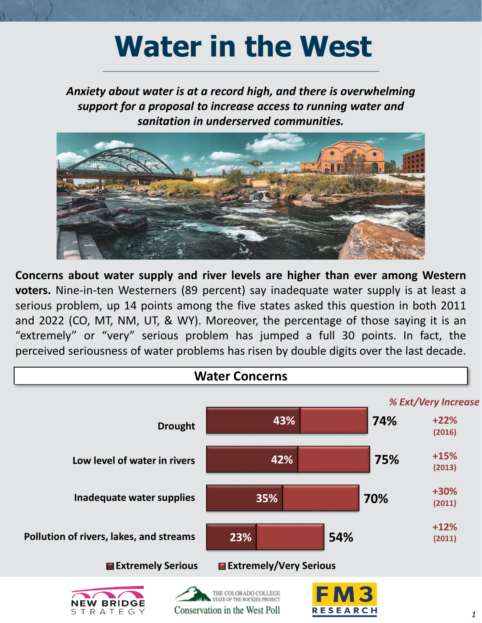## **Water in the West**

*Anxiety about water is at a record high, and there is overwhelming support for a proposal to increase access to running water and sanitation in underserved communities.*



**Concerns about water supply and river levels are higher than ever among Western voters.** Nine-in-ten Westerners (89 percent) say inadequate water supply is at least a serious problem, up 14 points among the five states asked this question in both 2011 and 2022 (CO, MT, NM, UT, & WY). Moreover, the percentage of those saying it is an "extremely" or "very" serious problem has jumped a full 30 points. In fact, the perceived seriousness of water problems has risen by double digits over the last decade.

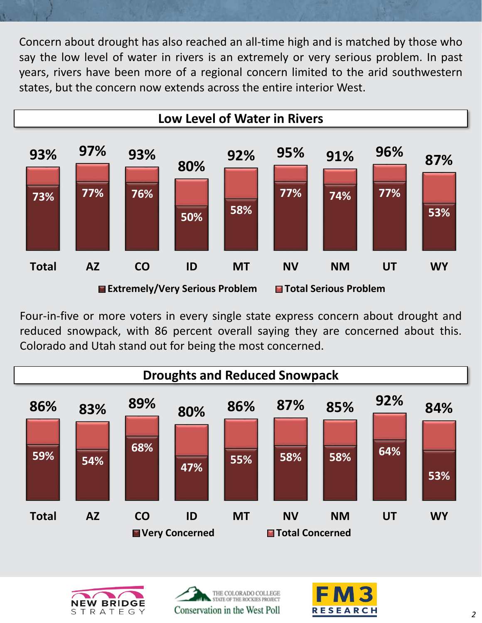Concern about drought has also reached an all-time high and is matched by those who say the low level of water in rivers is an extremely or very serious problem. In past years, rivers have been more of a regional concern limited to the arid southwestern states, but the concern now extends across the entire interior West.



Four-in-five or more voters in every single state express concern about drought and reduced snowpack, with 86 percent overall saying they are concerned about this. Colorado and Utah stand out for being the most concerned.